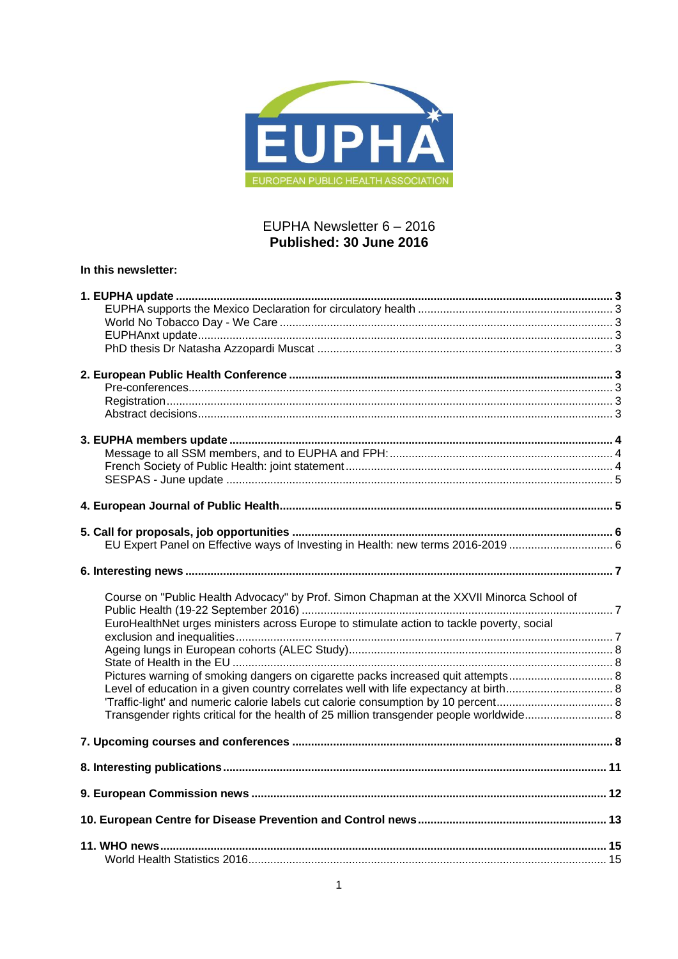

# EUPHA Newsletter 6 - 2016 Published: 30 June 2016

# In this newsletter:

| Course on "Public Health Advocacy" by Prof. Simon Chapman at the XXVII Minorca School of  |  |
|-------------------------------------------------------------------------------------------|--|
|                                                                                           |  |
| EuroHealthNet urges ministers across Europe to stimulate action to tackle poverty, social |  |
|                                                                                           |  |
|                                                                                           |  |
|                                                                                           |  |
|                                                                                           |  |
|                                                                                           |  |
|                                                                                           |  |
| Transgender rights critical for the health of 25 million transgender people worldwide 8   |  |
|                                                                                           |  |
|                                                                                           |  |
|                                                                                           |  |
|                                                                                           |  |
|                                                                                           |  |
|                                                                                           |  |
|                                                                                           |  |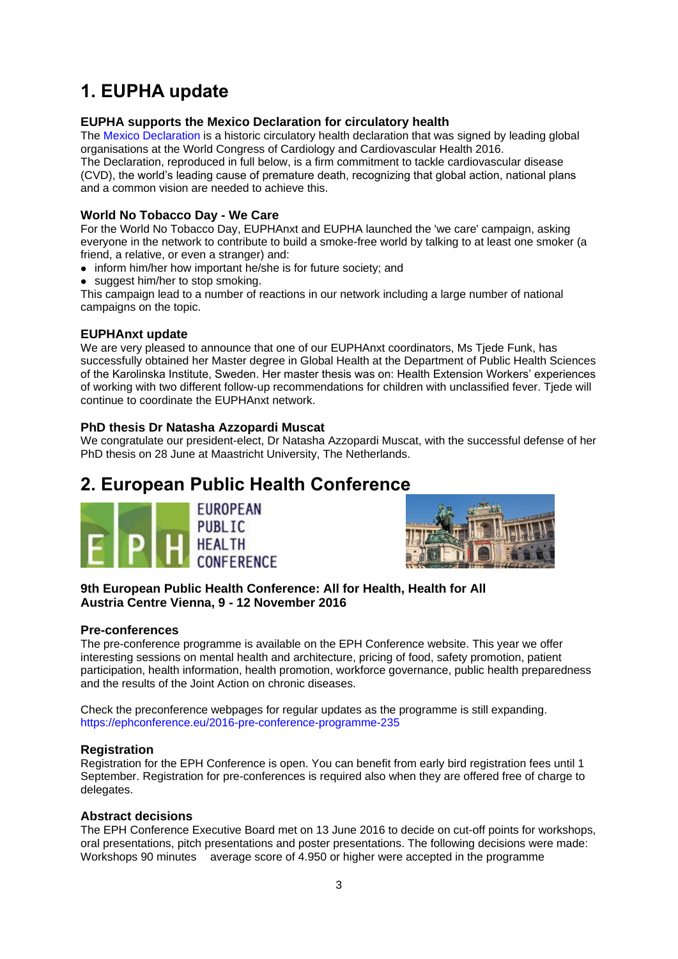# <span id="page-2-0"></span>**1. EUPHA update**

# <span id="page-2-1"></span>**EUPHA supports the Mexico Declaration for circulatory health**

The [Mexico Declaration](http://www.world-heart-federation.org/wcc-2016/the-mexico-declaration/) is a historic circulatory health declaration that was signed by leading global organisations at the World Congress of Cardiology and Cardiovascular Health 2016. The Declaration, reproduced in full below, is a firm commitment to tackle cardiovascular disease (CVD), the world's leading cause of premature death, recognizing that global action, national plans and a common vision are needed to achieve this.

# <span id="page-2-2"></span>**World No Tobacco Day - We Care**

For the World No Tobacco Day, EUPHAnxt and EUPHA launched the 'we care' campaign, asking everyone in the network to contribute to build a smoke-free world by talking to at least one smoker (a friend, a relative, or even a stranger) and:

- inform him/her how important he/she is for future society; and
- suggest him/her to stop smoking.

This campaign lead to a number of reactions in our network including a large number of national campaigns on the topic.

# <span id="page-2-3"></span>**EUPHAnxt update**

We are very pleased to announce that one of our EUPHAnxt coordinators, Ms Tjede Funk, has successfully obtained her Master degree in Global Health at the Department of Public Health Sciences of the Karolinska Institute, Sweden. Her master thesis was on: Health Extension Workers' experiences of working with two different follow-up recommendations for children with unclassified fever. Tjede will continue to coordinate the EUPHAnxt network.

# <span id="page-2-4"></span>**PhD thesis Dr Natasha Azzopardi Muscat**

We congratulate our president-elect, Dr Natasha Azzopardi Muscat, with the successful defense of her PhD thesis on 28 June at Maastricht University, The Netherlands.

# <span id="page-2-5"></span>**2. European Public Health Conference**





# **9th European Public Health Conference: All for Health, Health for All Austria Centre Vienna, 9 - 12 November 2016**

# <span id="page-2-6"></span>**Pre-conferences**

The pre-conference programme is available on the EPH Conference website. This year we offer interesting sessions on mental health and architecture, pricing of food, safety promotion, patient participation, health information, health promotion, workforce governance, public health preparedness and the results of the Joint Action on chronic diseases.

Check the preconference webpages for regular updates as the programme is still expanding. <https://ephconference.eu/2016-pre-conference-programme-235>

# <span id="page-2-7"></span>**Registration**

Registration for the EPH Conference is open. You can benefit from early bird registration fees until 1 September. Registration for pre-conferences is required also when they are offered free of charge to delegates.

# <span id="page-2-8"></span>**Abstract decisions**

The EPH Conference Executive Board met on 13 June 2016 to decide on cut-off points for workshops, oral presentations, pitch presentations and poster presentations. The following decisions were made: Workshops 90 minutes average score of 4.950 or higher were accepted in the programme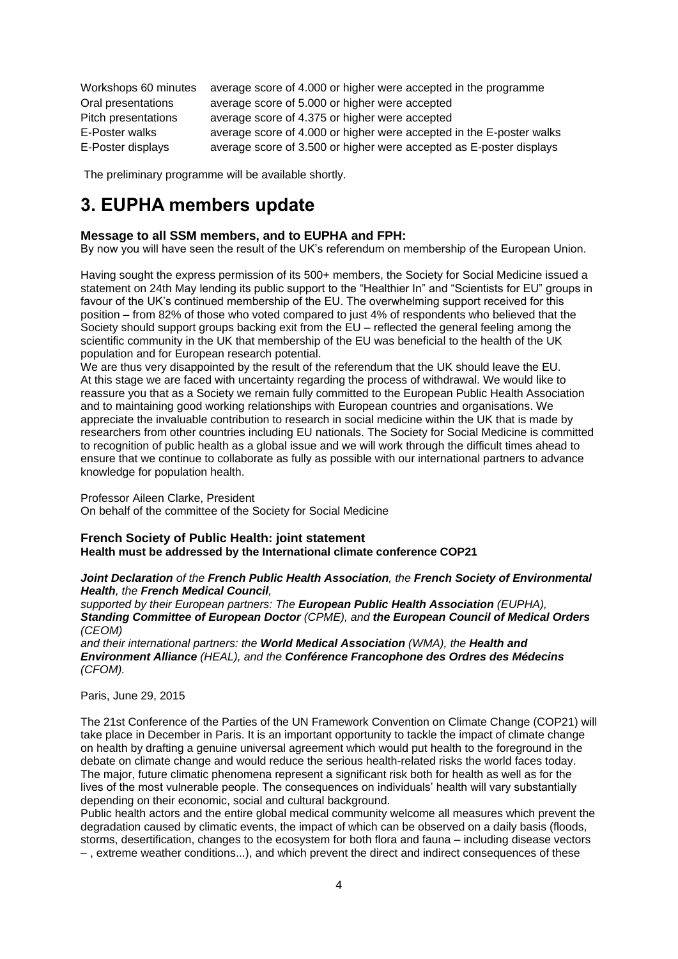| Workshops 60 minutes | average score of 4.000 or higher were accepted in the programme      |
|----------------------|----------------------------------------------------------------------|
| Oral presentations   | average score of 5.000 or higher were accepted                       |
| Pitch presentations  | average score of 4.375 or higher were accepted                       |
| E-Poster walks       | average score of 4.000 or higher were accepted in the E-poster walks |
| E-Poster displays    | average score of 3.500 or higher were accepted as E-poster displays  |

The preliminary programme will be available shortly.

# <span id="page-3-0"></span>**3. EUPHA members update**

# <span id="page-3-1"></span>**Message to all SSM members, and to EUPHA and FPH:**

By now you will have seen the result of the UK's referendum on membership of the European Union.

Having sought the express permission of its 500+ members, the Society for Social Medicine issued a statement on 24th May lending its public support to the "Healthier In" and "Scientists for EU" groups in favour of the UK's continued membership of the EU. The overwhelming support received for this position – from 82% of those who voted compared to just 4% of respondents who believed that the Society should support groups backing exit from the EU – reflected the general feeling among the scientific community in the UK that membership of the EU was beneficial to the health of the UK population and for European research potential.

We are thus very disappointed by the result of the referendum that the UK should leave the EU. At this stage we are faced with uncertainty regarding the process of withdrawal. We would like to reassure you that as a Society we remain fully committed to the European Public Health Association and to maintaining good working relationships with European countries and organisations. We appreciate the invaluable contribution to research in social medicine within the UK that is made by researchers from other countries including EU nationals. The Society for Social Medicine is committed to recognition of public health as a global issue and we will work through the difficult times ahead to ensure that we continue to collaborate as fully as possible with our international partners to advance knowledge for population health.

#### Professor Aileen Clarke, President

On behalf of the committee of the Society for Social Medicine

## <span id="page-3-2"></span>**French Society of Public Health: joint statement Health must be addressed by the International climate conference COP21**

## *Joint Declaration of the French Public Health Association, the French Society of Environmental Health, the French Medical Council,*

*supported by their European partners: The European Public Health Association (EUPHA), Standing Committee of European Doctor (CPME), and the European Council of Medical Orders (CEOM)* 

*and their international partners: the World Medical Association (WMA), the Health and Environment Alliance (HEAL), and the Conférence Francophone des Ordres des Médecins (CFOM).* 

Paris, June 29, 2015

The 21st Conference of the Parties of the UN Framework Convention on Climate Change (COP21) will take place in December in Paris. It is an important opportunity to tackle the impact of climate change on health by drafting a genuine universal agreement which would put health to the foreground in the debate on climate change and would reduce the serious health-related risks the world faces today. The major, future climatic phenomena represent a significant risk both for health as well as for the lives of the most vulnerable people. The consequences on individuals' health will vary substantially depending on their economic, social and cultural background.

Public health actors and the entire global medical community welcome all measures which prevent the degradation caused by climatic events, the impact of which can be observed on a daily basis (floods, storms, desertification, changes to the ecosystem for both flora and fauna – including disease vectors – , extreme weather conditions...), and which prevent the direct and indirect consequences of these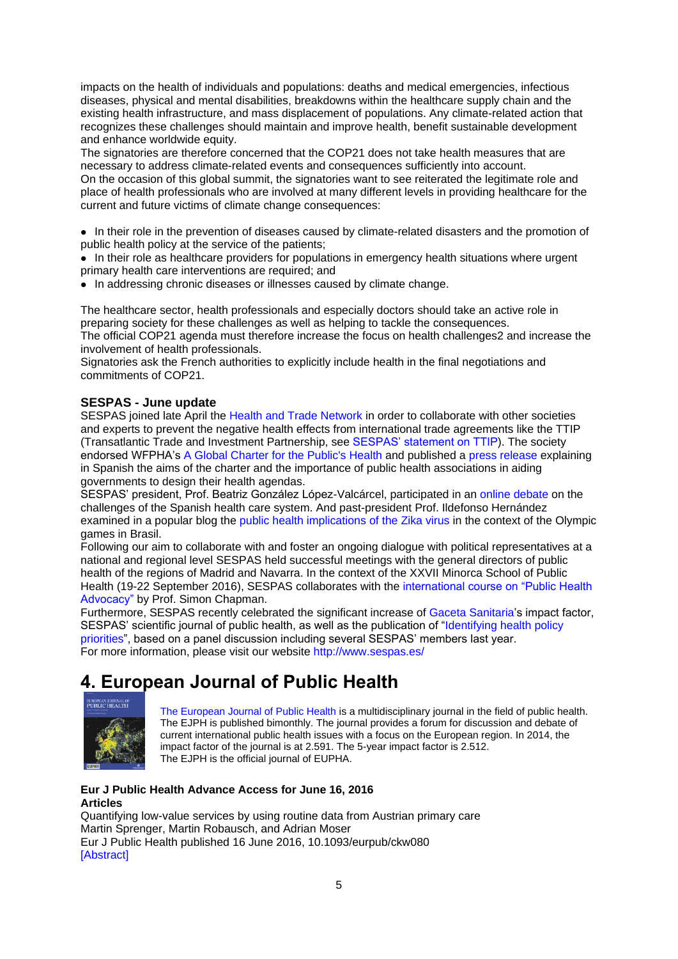impacts on the health of individuals and populations: deaths and medical emergencies, infectious diseases, physical and mental disabilities, breakdowns within the healthcare supply chain and the existing health infrastructure, and mass displacement of populations. Any climate-related action that recognizes these challenges should maintain and improve health, benefit sustainable development and enhance worldwide equity.

The signatories are therefore concerned that the COP21 does not take health measures that are necessary to address climate-related events and consequences sufficiently into account. On the occasion of this global summit, the signatories want to see reiterated the legitimate role and place of health professionals who are involved at many different levels in providing healthcare for the current and future victims of climate change consequences:

• In their role in the prevention of diseases caused by climate-related disasters and the promotion of public health policy at the service of the patients;

• In their role as healthcare providers for populations in emergency health situations where urgent primary health care interventions are required; and

• In addressing chronic diseases or illnesses caused by climate change.

The healthcare sector, health professionals and especially doctors should take an active role in preparing society for these challenges as well as helping to tackle the consequences. The official COP21 agenda must therefore increase the focus on health challenges2 and increase the involvement of health professionals.

Signatories ask the French authorities to explicitly include health in the final negotiations and commitments of COP21.

# <span id="page-4-0"></span>**SESPAS - June update**

SESPAS joined late April the [Health and Trade Network i](http://www.healthandtradenetwork.org/)n order to collaborate with other societies and experts to prevent the negative health effects from international trade agreements like the TTIP (Transatlantic Trade and Investment Partnership, see [SESPAS' statement on TTIP\)](http://www.sespas.es/adminweb/uploads/docs/Posicionamiento%20SESPAS%20TTIP%20nov2015.pdf). The society endorsed WFPHA's [A Global Charter for the Public's Health](http://wfpha.org/wfpha-projects/14-projects/171-a-global-charter-for-the-public-s-health-3) and published a [press release](http://www.sespas.es/adminweb/uploads/docs/NP%20Carta%20Global%20para%20la%20SaludPublica%20mayo2016.pdf) explaining in Spanish the aims of the charter and the importance of public health associations in aiding governments to design their health agendas.

SESPAS' president, Prof. Beatriz González López-Valcárcel, participated in an [online debate](http://www.powerfulconversations.net/webinar/los-retos-del-sistema-de-salud-actual/) on the challenges of the Spanish health care system. And past-president Prof. Ildefonso Hernández examined in a popular blog the [public health implications of the Zika virus](http://nadaesgratis.es/admin/las-olimpiadas-de-brasil-y-el-virus-zika) in the context of the Olympic games in Brasil.

Following our aim to collaborate with and foster an ongoing dialogue with political representatives at a national and regional level SESPAS held successful meetings with the general directors of public health of the regions of Madrid and Navarra. In the context of the XXVII Minorca School of Public Health (19-22 September 2016), SESPAS collaborates with the [international course on "Public Health](http://bit.ly/ChapmanCourse)  [Advocacy"](http://bit.ly/ChapmanCourse) by Prof. Simon Chapman.

Furthermore, SESPAS recently celebrated the significant increase of [Gaceta Sanitaria's](http://gacetasanitaria.org/) impact factor, SESPAS' scientific journal of public health, as well as the publication of "Identifying health policy [priorities"](http://www.esteve.org/cuaderno-politicas-salud/), based on a panel discussion including several SESPAS' members last year. For more information, please visit our website<http://www.sespas.es/>

# <span id="page-4-1"></span>**4. European Journal of Public Health**



[The European Journal of Public Health](http://eurpub.oxfordjournals.org/) is a multidisciplinary journal in the field of public health. The EJPH is published bimonthly. The journal provides a forum for discussion and debate of current international public health issues with a focus on the European region. In 2014, the impact factor of the journal is at 2.591. The 5-year impact factor is 2.512. The EJPH is the official journal of EUPHA.

# **Eur J Public Health Advance Access for June 16, 2016 Articles**

Quantifying low-value services by using routine data from Austrian primary care Martin Sprenger, Martin Robausch, and Adrian Moser Eur J Public Health published 16 June 2016, 10.1093/eurpub/ckw080 [\[Abstract\]](http://eurpub.oxfordjournals.org/content/early/2016/06/15/eurpub.ckw080.abstract?papetoc)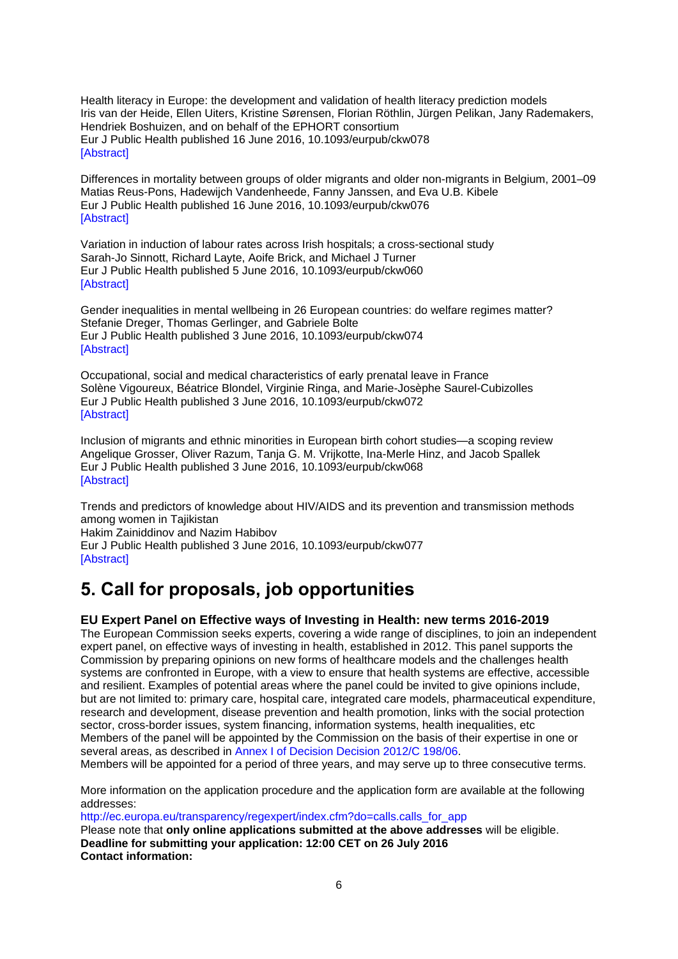Health literacy in Europe: the development and validation of health literacy prediction models Iris van der Heide, Ellen Uiters, Kristine Sørensen, Florian Röthlin, Jürgen Pelikan, Jany Rademakers, Hendriek Boshuizen, and on behalf of the EPHORT consortium Eur J Public Health published 16 June 2016, 10.1093/eurpub/ckw078 [\[Abstract\]](http://eurpub.oxfordjournals.org/content/early/2016/06/15/eurpub.ckw078.abstract?papetoc)

Differences in mortality between groups of older migrants and older non-migrants in Belgium, 2001–09 Matias Reus-Pons, Hadewijch Vandenheede, Fanny Janssen, and Eva U.B. Kibele Eur J Public Health published 16 June 2016, 10.1093/eurpub/ckw076 [\[Abstract\]](http://eurpub.oxfordjournals.org/content/early/2016/06/15/eurpub.ckw076.abstract?papetoc)

Variation in induction of labour rates across Irish hospitals; a cross-sectional study Sarah-Jo Sinnott, Richard Layte, Aoife Brick, and Michael J Turner Eur J Public Health published 5 June 2016, 10.1093/eurpub/ckw060 [\[Abstract\]](http://eurpub.oxfordjournals.org/content/early/2016/06/03/eurpub.ckw060.abstract?papetoc)

Gender inequalities in mental wellbeing in 26 European countries: do welfare regimes matter? Stefanie Dreger, Thomas Gerlinger, and Gabriele Bolte Eur J Public Health published 3 June 2016, 10.1093/eurpub/ckw074 [\[Abstract\]](http://eurpub.oxfordjournals.org/content/early/2016/06/03/eurpub.ckw074.abstract?papetoc)

Occupational, social and medical characteristics of early prenatal leave in France Solène Vigoureux, Béatrice Blondel, Virginie Ringa, and Marie-Josèphe Saurel-Cubizolles Eur J Public Health published 3 June 2016, 10.1093/eurpub/ckw072 **[\[Abstract\]](http://eurpub.oxfordjournals.org/content/early/2016/06/03/eurpub.ckw072.abstract?papetoc)** 

Inclusion of migrants and ethnic minorities in European birth cohort studies—a scoping review Angelique Grosser, Oliver Razum, Tanja G. M. Vrijkotte, Ina-Merle Hinz, and Jacob Spallek Eur J Public Health published 3 June 2016, 10.1093/eurpub/ckw068 [\[Abstract\]](http://eurpub.oxfordjournals.org/content/early/2016/06/03/eurpub.ckw068.abstract?papetoc)

Trends and predictors of knowledge about HIV/AIDS and its prevention and transmission methods among women in Tajikistan Hakim Zainiddinov and Nazim Habibov

Eur J Public Health published 3 June 2016, 10.1093/eurpub/ckw077 **[\[Abstract\]](http://eurpub.oxfordjournals.org/content/early/2016/06/03/eurpub.ckw077.abstract?papetoc)** 

# <span id="page-5-0"></span>**5. Call for proposals, job opportunities**

# <span id="page-5-1"></span>**EU Expert Panel on Effective ways of Investing in Health: new terms 2016-2019**

The European Commission seeks experts, covering a wide range of disciplines, to join an independent expert panel, on effective ways of investing in health, established in 2012. This panel supports the Commission by preparing opinions on new forms of healthcare models and the challenges health systems are confronted in Europe, with a view to ensure that health systems are effective, accessible and resilient. Examples of potential areas where the panel could be invited to give opinions include, but are not limited to: primary care, hospital care, integrated care models, pharmaceutical expenditure, research and development, disease prevention and health promotion, links with the social protection sector, cross-border issues, system financing, information systems, health inequalities, etc Members of the panel will be appointed by the Commission on the basis of their expertise in one or several areas, as described in [Annex I of Decision Decision 2012/C 198/06.](http://eur-lex.europa.eu/LexUriServ/LexUriServ.do?uri=OJ:C:2012:198:0007:0011:EN:PDF)

Members will be appointed for a period of three years, and may serve up to three consecutive terms.

More information on the application procedure and the application form are available at the following addresses:

[http://ec.europa.eu/transparency/regexpert/index.cfm?do=calls.calls\\_for\\_app](http://ec.europa.eu/transparency/regexpert/index.cfm?do=calls.calls_for_app)

Please note that **only online applications submitted at the above addresses** will be eligible. **Deadline for submitting your application: 12:00 CET on 26 July 2016 Contact information:**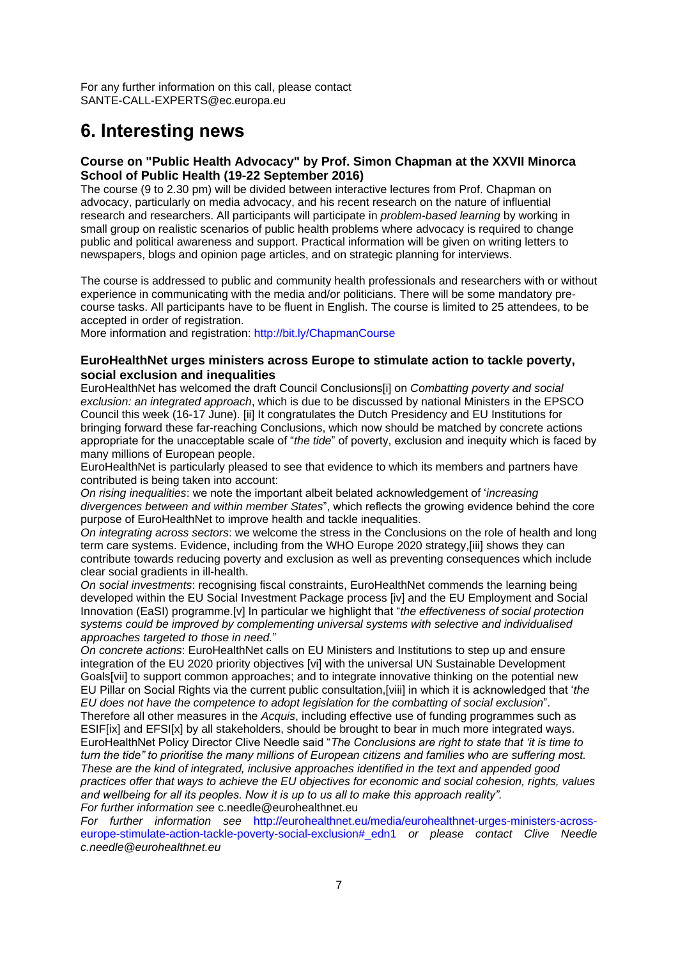For any further information on this call, please contact SANTE-CALL-EXPERTS@ec.europa.eu

# <span id="page-6-0"></span>**6. Interesting news**

## <span id="page-6-1"></span>**Course on "Public Health Advocacy" by Prof. Simon Chapman at the XXVII Minorca School of Public Health (19-22 September 2016)**

The course (9 to 2.30 pm) will be divided between interactive lectures from Prof. Chapman on advocacy, particularly on media advocacy, and his recent research on the nature of influential research and researchers. All participants will participate in *problem-based learning* by working in small group on realistic scenarios of public health problems where advocacy is required to change public and political awareness and support. Practical information will be given on writing letters to newspapers, blogs and opinion page articles, and on strategic planning for interviews.

The course is addressed to public and community health professionals and researchers with or without experience in communicating with the media and/or politicians. There will be some mandatory precourse tasks. All participants have to be fluent in English. The course is limited to 25 attendees, to be accepted in order of registration.

More information and registration:<http://bit.ly/ChapmanCourse>

## <span id="page-6-2"></span>**EuroHealthNet urges ministers across Europe to stimulate action to tackle poverty, social exclusion and inequalities**

EuroHealthNet has welcomed the draft Council Conclusions[i] on *Combatting poverty and social exclusion: an integrated approach*, which is due to be discussed by national Ministers in the EPSCO Council this week (16-17 June). [\[ii\]](http://euphapedia.eupha.org/newsletter/index.php?action=add#_edn2) It congratulates the Dutch Presidency and EU Institutions for bringing forward these far-reaching Conclusions, which now should be matched by concrete actions appropriate for the unacceptable scale of "*the tide*" of poverty, exclusion and inequity which is faced by many millions of European people.

EuroHealthNet is particularly pleased to see that evidence to which its members and partners have contributed is being taken into account:

*On rising inequalities*: we note the important albeit belated acknowledgement of '*increasing divergences between and within member States*", which reflects the growing evidence behind the core purpose of EuroHealthNet to improve health and tackle inequalities.

*On integrating across sectors*: we welcome the stress in the Conclusions on the role of health and long term care systems. Evidence, including from the WHO Europe 2020 strategy[,\[iii\]](http://euphapedia.eupha.org/newsletter/index.php?action=add#_edn3) shows they can contribute towards reducing poverty and exclusion as well as preventing consequences which include clear social gradients in ill-health.

*On social investments*: recognising fiscal constraints, EuroHealthNet commends the learning being developed within the EU Social Investment Package process [\[iv\]](http://euphapedia.eupha.org/newsletter/index.php?action=add#_edn4) and the EU Employment and Social Innovation (EaSI) programme[.\[v\]](http://euphapedia.eupha.org/newsletter/index.php?action=add#_edn5) In particular we highlight that "*the effectiveness of social protection systems could be improved by complementing universal systems with selective and individualised approaches targeted to those in need.*"

*On concrete actions*: EuroHealthNet calls on EU Ministers and Institutions to step up and ensure integration of the EU 2020 priority objectives [\[vi\]](http://euphapedia.eupha.org/newsletter/index.php?action=add#_edn6) with the universal UN Sustainable Development Goal[s\[vii\]](http://euphapedia.eupha.org/newsletter/index.php?action=add#_edn7) to support common approaches; and to integrate innovative thinking on the potential new EU Pillar on Social Rights via the current public consultation[,\[viii\]](http://euphapedia.eupha.org/newsletter/index.php?action=add#_edn8) in which it is acknowledged that '*the EU does not have the competence to adopt legislation for the combatting of social exclusion*".

Therefore all other measures in the *Acquis*, including effective use of funding programmes such as ESI[F\[ix\]](http://euphapedia.eupha.org/newsletter/index.php?action=add#_edn9) and EFS[I\[x\]](http://euphapedia.eupha.org/newsletter/index.php?action=add#_edn10) by all stakeholders, should be brought to bear in much more integrated ways. EuroHealthNet Policy Director Clive Needle said "*The Conclusions are right to state that 'it is time to turn the tide" to prioritise the many millions of European citizens and families who are suffering most. These are the kind of integrated, inclusive approaches identified in the text and appended good practices offer that ways to achieve the EU objectives for economic and social cohesion, rights, values and wellbeing for all its peoples. Now it is up to us all to make this approach reality".*

*For further information see* c.needle@eurohealthnet.eu

*For further information see* [http://eurohealthnet.eu/media/eurohealthnet-urges-ministers-across](http://eurohealthnet.eu/media/eurohealthnet-urges-ministers-across-europe-stimulate-action-tackle-poverty-social-exclusion#_edn1)[europe-stimulate-action-tackle-poverty-social-exclusion#\\_edn1](http://eurohealthnet.eu/media/eurohealthnet-urges-ministers-across-europe-stimulate-action-tackle-poverty-social-exclusion#_edn1) *or please contact Clive Needle [c.needle@eurohealthnet.eu](mailto:c.needle@eurohealthnet.eu)*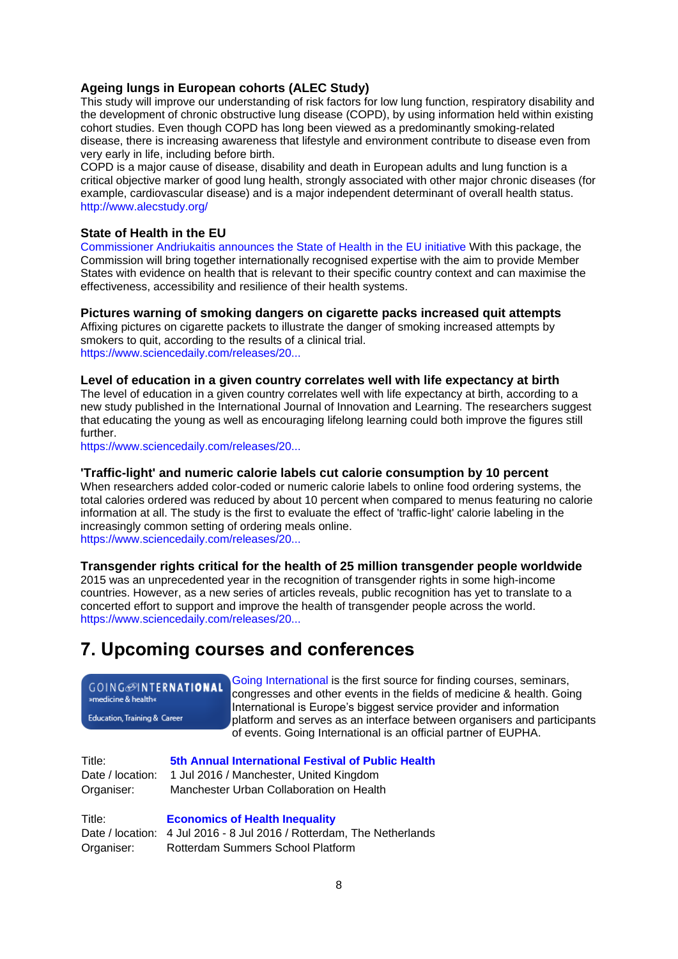# <span id="page-7-0"></span>**Ageing lungs in European cohorts (ALEC Study)**

This study will improve our understanding of risk factors for low lung function, respiratory disability and the development of chronic obstructive lung disease (COPD), by using information held within existing cohort studies. Even though COPD has long been viewed as a predominantly smoking-related disease, there is increasing awareness that lifestyle and environment contribute to disease even from very early in life, including before birth.

COPD is a major cause of disease, disability and death in European adults and lung function is a critical objective marker of good lung health, strongly associated with other major chronic diseases (for example, cardiovascular disease) and is a major independent determinant of overall health status. <http://www.alecstudy.org/>

# <span id="page-7-1"></span>**State of Health in the EU**

[Commissioner Andriukaitis announces the State of Health in the EU initiative](http://ec.europa.eu/dgs/health_food-safety/dyna/enews/enews.cfm?al_id=1696) With this package, the Commission will bring together internationally recognised expertise with the aim to provide Member States with evidence on health that is relevant to their specific country context and can maximise the effectiveness, accessibility and resilience of their health systems.

## <span id="page-7-2"></span>**Pictures warning of smoking dangers on cigarette packs increased quit attempts**

Affixing pictures on cigarette packets to illustrate the danger of smoking increased attempts by smokers to quit, according to the results of a clinical trial. [https://www.sciencedaily.com/releases/20...](http://sph.unc.edu/sph-news/pictures-on-cigarette-packs-warning-of-smoking-dangers-increased-quit-attempts-among-smokers/)

## <span id="page-7-3"></span>**Level of education in a given country correlates well with life expectancy at birth**

The level of education in a given country correlates well with life expectancy at birth, according to a new study published in the International Journal of Innovation and Learning. The researchers suggest that educating the young as well as encouraging lifelong learning could both improve the figures still further.

[https://www.sciencedaily.com/releases/20...](https://www.sciencedaily.com/releases/2016/06/160607080647.htm)

## <span id="page-7-4"></span>**'Traffic-light' and numeric calorie labels cut calorie consumption by 10 percent**

When researchers added color-coded or numeric calorie labels to online food ordering systems, the total calories ordered was reduced by about 10 percent when compared to menus featuring no calorie information at all. The study is the first to evaluate the effect of 'traffic-light' calorie labeling in the increasingly common setting of ordering meals online.

[https://www.sciencedaily.com/releases/20...](https://www.sciencedaily.com/releases/2016/06/160614121534.htm)

<span id="page-7-5"></span>**Transgender rights critical for the health of 25 million transgender people worldwide** 2015 was an unprecedented year in the recognition of transgender rights in some high-income countries. However, as a new series of articles reveals, public recognition has yet to translate to a concerted effort to support and improve the health of transgender people across the world. [https://www.sciencedaily.com/releases/20...](https://www.sciencedaily.com/releases/2016/06/160617082306.htm)

# <span id="page-7-6"></span>**7. Upcoming courses and conferences**

# **GOING**@INTERNATIONAL

»medicine & health«

Education, Training & Career

[Going International](http://www.goinginternational.eu/) is the first source for finding courses, seminars, congresses and other events in the fields of medicine & health. Going International is Europe's biggest service provider and information platform and serves as an interface between organisers and participants of events. Going International is an official partner of EUPHA.

Title: **[5th Annual International Festival of Public Health](http://www.festivalofpublichealth.co.uk/)** Date / location: 1 Jul 2016 / Manchester, United Kingdom Organiser: Manchester Urban Collaboration on Health

Title: **[Economics of Health Inequality](https://rotterdamsummerschool.com/courses/course/economics-of-health-inequality)** Date / location: 4 Jul 2016 - 8 Jul 2016 / Rotterdam, The Netherlands Organiser: Rotterdam Summers School Platform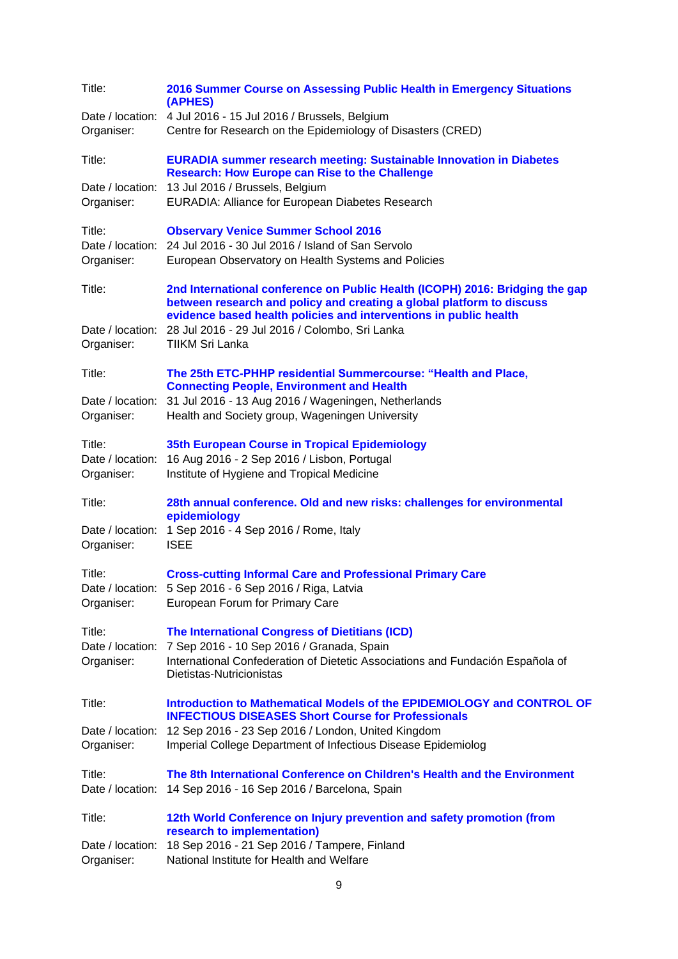| Title:                                   | 2016 Summer Course on Assessing Public Health in Emergency Situations<br>(APHES)                                                                                                                                                                                                                       |
|------------------------------------------|--------------------------------------------------------------------------------------------------------------------------------------------------------------------------------------------------------------------------------------------------------------------------------------------------------|
| Date / location:<br>Organiser:           | 4 Jul 2016 - 15 Jul 2016 / Brussels, Belgium<br>Centre for Research on the Epidemiology of Disasters (CRED)                                                                                                                                                                                            |
| Title:                                   | <b>EURADIA summer research meeting: Sustainable Innovation in Diabetes</b><br><b>Research: How Europe can Rise to the Challenge</b>                                                                                                                                                                    |
| Date / location:<br>Organiser:           | 13 Jul 2016 / Brussels, Belgium<br>EURADIA: Alliance for European Diabetes Research                                                                                                                                                                                                                    |
| Title:<br>Organiser:                     | <b>Observary Venice Summer School 2016</b><br>Date / location: 24 Jul 2016 - 30 Jul 2016 / Island of San Servolo<br>European Observatory on Health Systems and Policies                                                                                                                                |
| Title:<br>Date / location:<br>Organiser: | 2nd International conference on Public Health (ICOPH) 2016: Bridging the gap<br>between research and policy and creating a global platform to discuss<br>evidence based health policies and interventions in public health<br>28 Jul 2016 - 29 Jul 2016 / Colombo, Sri Lanka<br><b>TIIKM Sri Lanka</b> |
| Title:                                   | The 25th ETC-PHHP residential Summercourse: "Health and Place,                                                                                                                                                                                                                                         |
| Date / location:<br>Organiser:           | <b>Connecting People, Environment and Health</b><br>31 Jul 2016 - 13 Aug 2016 / Wageningen, Netherlands<br>Health and Society group, Wageningen University                                                                                                                                             |
| Title:<br>Date / location:<br>Organiser: | 35th European Course in Tropical Epidemiology<br>16 Aug 2016 - 2 Sep 2016 / Lisbon, Portugal<br>Institute of Hygiene and Tropical Medicine                                                                                                                                                             |
| Title:<br>Date / location:<br>Organiser: | 28th annual conference. Old and new risks: challenges for environmental<br>epidemiology<br>1 Sep 2016 - 4 Sep 2016 / Rome, Italy<br><b>ISEE</b>                                                                                                                                                        |
| Title:<br>Date / location:<br>Organiser: | <b>Cross-cutting Informal Care and Professional Primary Care</b><br>5 Sep 2016 - 6 Sep 2016 / Riga, Latvia<br>European Forum for Primary Care                                                                                                                                                          |
| Title:<br>Date / location:<br>Organiser: | <b>The International Congress of Dietitians (ICD)</b><br>7 Sep 2016 - 10 Sep 2016 / Granada, Spain<br>International Confederation of Dietetic Associations and Fundación Española of<br>Dietistas-Nutricionistas                                                                                       |
| Title:                                   | Introduction to Mathematical Models of the EPIDEMIOLOGY and CONTROL OF<br><b>INFECTIOUS DISEASES Short Course for Professionals</b>                                                                                                                                                                    |
| Date / location:<br>Organiser:           | 12 Sep 2016 - 23 Sep 2016 / London, United Kingdom<br>Imperial College Department of Infectious Disease Epidemiolog                                                                                                                                                                                    |
| Title:<br>Date / location:               | The 8th International Conference on Children's Health and the Environment<br>14 Sep 2016 - 16 Sep 2016 / Barcelona, Spain                                                                                                                                                                              |
| Title:                                   | 12th World Conference on Injury prevention and safety promotion (from<br>research to implementation)                                                                                                                                                                                                   |
| Date / location:<br>Organiser:           | 18 Sep 2016 - 21 Sep 2016 / Tampere, Finland<br>National Institute for Health and Welfare                                                                                                                                                                                                              |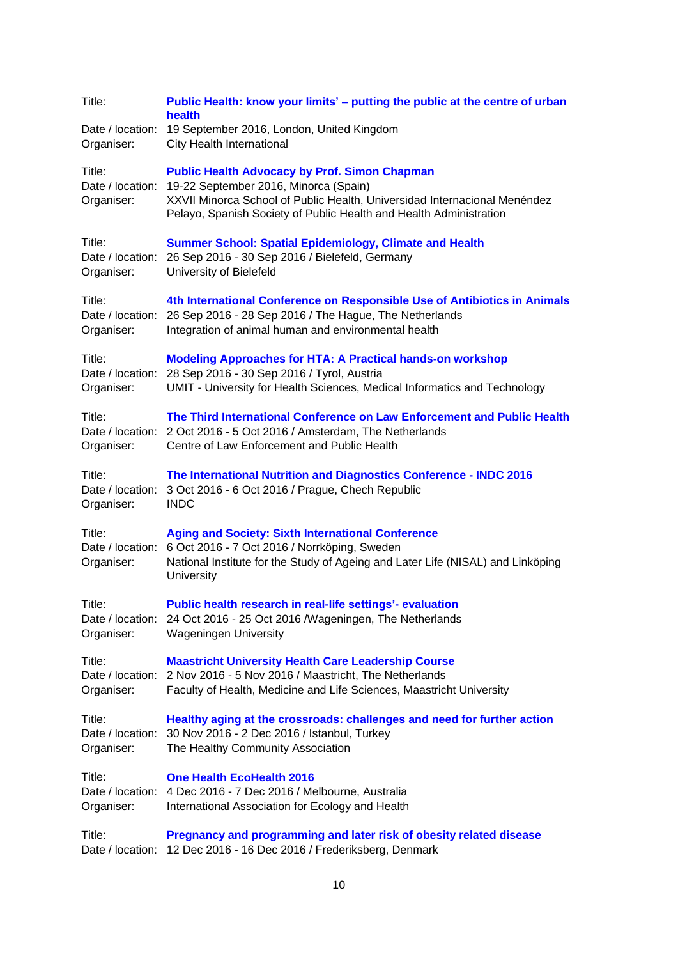| Title:<br>Date / location:<br>Organiser: | Public Health: know your limits' – putting the public at the centre of urban<br>health<br>19 September 2016, London, United Kingdom<br>City Health International                                                                                 |
|------------------------------------------|--------------------------------------------------------------------------------------------------------------------------------------------------------------------------------------------------------------------------------------------------|
| Title:<br>Date / location:<br>Organiser: | <b>Public Health Advocacy by Prof. Simon Chapman</b><br>19-22 September 2016, Minorca (Spain)<br>XXVII Minorca School of Public Health, Universidad Internacional Menéndez<br>Pelayo, Spanish Society of Public Health and Health Administration |
| Title:<br>Date / location:<br>Organiser: | <b>Summer School: Spatial Epidemiology, Climate and Health</b><br>26 Sep 2016 - 30 Sep 2016 / Bielefeld, Germany<br>University of Bielefeld                                                                                                      |
| Title:<br>Date / location:<br>Organiser: | 4th International Conference on Responsible Use of Antibiotics in Animals<br>26 Sep 2016 - 28 Sep 2016 / The Hague, The Netherlands<br>Integration of animal human and environmental health                                                      |
| Title:<br>Date / location:<br>Organiser: | <b>Modeling Approaches for HTA: A Practical hands-on workshop</b><br>28 Sep 2016 - 30 Sep 2016 / Tyrol, Austria<br>UMIT - University for Health Sciences, Medical Informatics and Technology                                                     |
| Title:<br>Date / location:<br>Organiser: | The Third International Conference on Law Enforcement and Public Health<br>2 Oct 2016 - 5 Oct 2016 / Amsterdam, The Netherlands<br>Centre of Law Enforcement and Public Health                                                                   |
| Title:<br>Date / location:<br>Organiser: | The International Nutrition and Diagnostics Conference - INDC 2016<br>3 Oct 2016 - 6 Oct 2016 / Prague, Chech Republic<br><b>INDC</b>                                                                                                            |
| Title:<br>Date / location:<br>Organiser: | <b>Aging and Society: Sixth International Conference</b><br>6 Oct 2016 - 7 Oct 2016 / Norrköping, Sweden<br>National Institute for the Study of Ageing and Later Life (NISAL) and Linköping<br>University                                        |
| Title:<br>Organiser:                     | Public health research in real-life settings'- evaluation<br>Date / location: 24 Oct 2016 - 25 Oct 2016 / Wageningen, The Netherlands<br><b>Wageningen University</b>                                                                            |
| Title:<br>Organiser:                     | <b>Maastricht University Health Care Leadership Course</b><br>Date / location: 2 Nov 2016 - 5 Nov 2016 / Maastricht, The Netherlands<br>Faculty of Health, Medicine and Life Sciences, Maastricht University                                     |
| Title:<br>Organiser:                     | Healthy aging at the crossroads: challenges and need for further action<br>Date / location: 30 Nov 2016 - 2 Dec 2016 / Istanbul, Turkey<br>The Healthy Community Association                                                                     |
| Title:<br>Organiser:                     | <b>One Health EcoHealth 2016</b><br>Date / location: 4 Dec 2016 - 7 Dec 2016 / Melbourne, Australia<br>International Association for Ecology and Health                                                                                          |
| Title:                                   | Pregnancy and programming and later risk of obesity related disease<br>Date / location: 12 Dec 2016 - 16 Dec 2016 / Frederiksberg, Denmark                                                                                                       |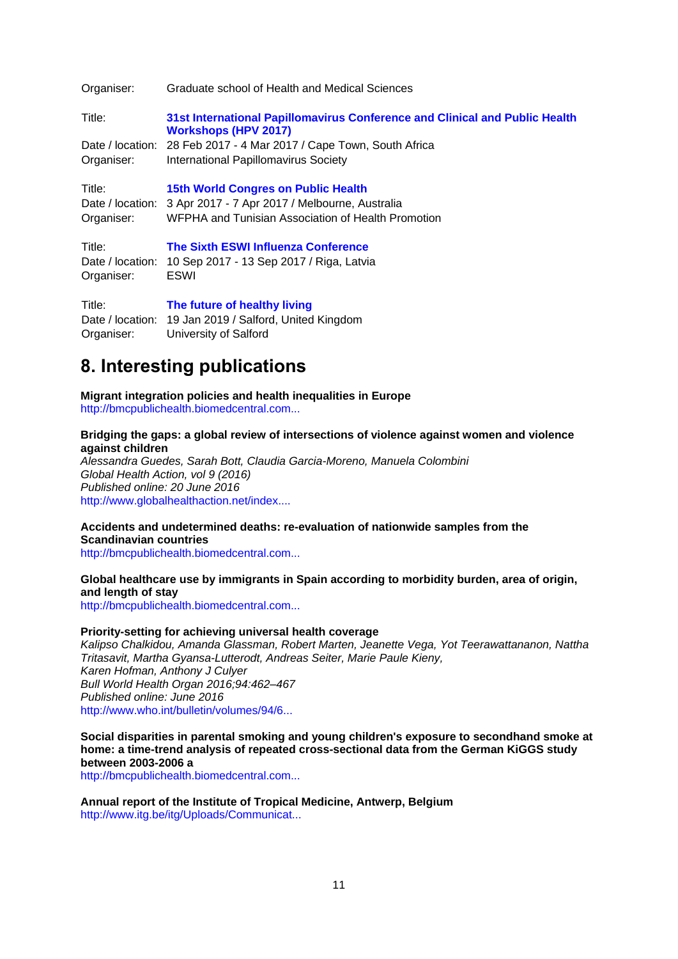| Organiser:       | Graduate school of Health and Medical Sciences                                                             |
|------------------|------------------------------------------------------------------------------------------------------------|
| Title:           | 31st International Papillomavirus Conference and Clinical and Public Health<br><b>Workshops (HPV 2017)</b> |
|                  | Date / location: 28 Feb 2017 - 4 Mar 2017 / Cape Town, South Africa                                        |
| Organiser:       | International Papillomavirus Society                                                                       |
| Title:           | 15th World Congres on Public Health                                                                        |
|                  | Date / location: 3 Apr 2017 - 7 Apr 2017 / Melbourne, Australia                                            |
| Organiser:       | WFPHA and Tunisian Association of Health Promotion                                                         |
| Title:           | The Sixth ESWI Influenza Conference                                                                        |
| Date / location: | 10 Sep 2017 - 13 Sep 2017 / Riga, Latvia                                                                   |
| Organiser:       | ESWI                                                                                                       |
| Title:           | The future of healthy living                                                                               |
|                  | Date / location: 19 Jan 2019 / Salford, United Kingdom                                                     |

Organiser: University of Salford

# <span id="page-10-0"></span>**8. Interesting publications**

**Migrant integration policies and health inequalities in Europe** [http://bmcpublichealth.biomedcentral.com...](http://bmcpublichealth.biomedcentral.com/articles/10.1186/s12889-016-3095-9)

## **Bridging the gaps: a global review of intersections of violence against women and violence against children**

*Alessandra Guedes, Sarah Bott, Claudia Garcia-Moreno, Manuela Colombini Global Health Action, vol 9 (2016) Published online: 20 June 2016* [http://www.globalhealthaction.net/index....](http://www.globalhealthaction.net/index.php/gha/article/view/31516)

# **Accidents and undetermined deaths: re-evaluation of nationwide samples from the Scandinavian countries**

[http://bmcpublichealth.biomedcentral.com...](http://bmcpublichealth.biomedcentral.com/articles/10.1186/s12889-016-3135-5)

## **Global healthcare use by immigrants in Spain according to morbidity burden, area of origin, and length of stay**

[http://bmcpublichealth.biomedcentral.com...](http://bmcpublichealth.biomedcentral.com/articles/10.1186/s12889-016-3127-5)

# **Priority-setting for achieving universal health coverage**

*Kalipso Chalkidou, Amanda Glassman, Robert Marten, Jeanette Vega, Yot Teerawattananon, Nattha Tritasavit, Martha Gyansa-Lutterodt, Andreas Seiter, Marie Paule Kieny, Karen Hofman, Anthony J Culyer Bull World Health Organ 2016;94:462–467 Published online: June 2016* [http://www.who.int/bulletin/volumes/94/6...](http://www.who.int/bulletin/volumes/94/6/15-155721.pdf?ua=1)

**Social disparities in parental smoking and young children's exposure to secondhand smoke at home: a time-trend analysis of repeated cross-sectional data from the German KiGGS study between 2003-2006 a**

[http://bmcpublichealth.biomedcentral.com...](http://bmcpublichealth.biomedcentral.com/articles/10.1186/s12889-016-3175-x)

**Annual report of the Institute of Tropical Medicine, Antwerp, Belgium** [http://www.itg.be/itg/Uploads/Communicat...](http://www.itg.be/itg/Uploads/Communicatie/ITM%20annual%20report%202015.pdf)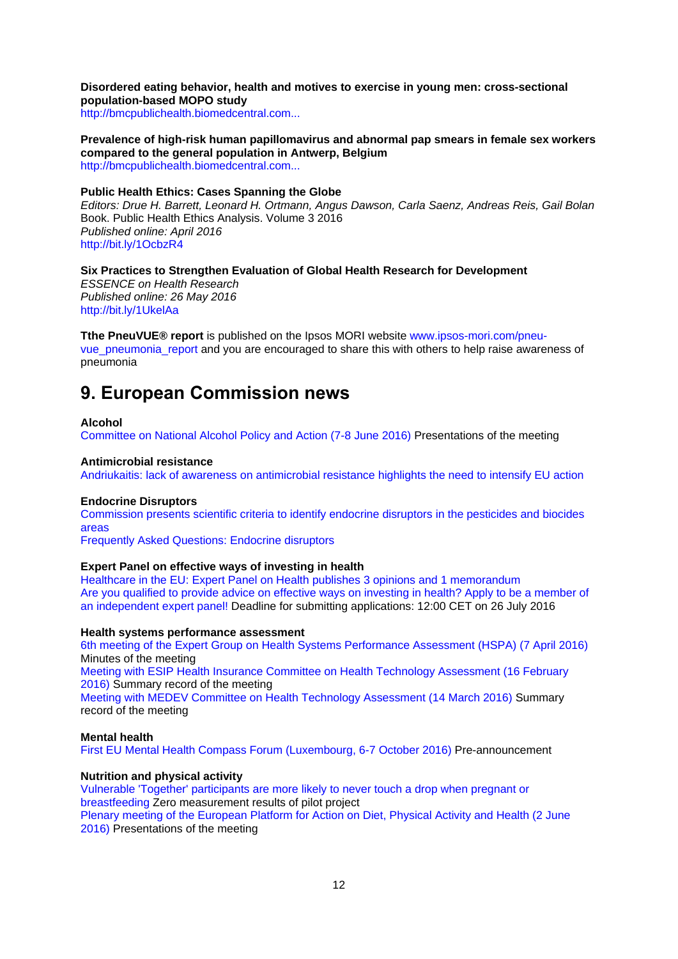**Disordered eating behavior, health and motives to exercise in young men: cross-sectional population-based MOPO study**

[http://bmcpublichealth.biomedcentral.com...](http://bmcpublichealth.biomedcentral.com/articles/10.1186/s12889-016-3162-2)

**Prevalence of high-risk human papillomavirus and abnormal pap smears in female sex workers compared to the general population in Antwerp, Belgium** [http://bmcpublichealth.biomedcentral.com...](http://bmcpublichealth.biomedcentral.com/articles/10.1186/s12889-016-3099-5)

### **Public Health Ethics: Cases Spanning the Globe**

*Editors: Drue H. Barrett, Leonard H. Ortmann, Angus Dawson, Carla Saenz, Andreas Reis, Gail Bolan*  Book. Public Health Ethics Analysis. Volume 3 2016 *Published online: April 2016* <http://bit.ly/1OcbzR4>

## **Six Practices to Strengthen Evaluation of Global Health Research for Development**

*ESSENCE on Health Research Published online: 26 May 2016* <http://bit.ly/1UkelAa>

**Tthe PneuVUE® report** is published on the Ipsos MORI website [www.ipsos-mori.com/pneu](http://www.ipsos-mori.com/pneu-vue_pneumonia_report)[vue\\_pneumonia\\_report](http://www.ipsos-mori.com/pneu-vue_pneumonia_report) and you are encouraged to share this with others to help raise awareness of pneumonia

# <span id="page-11-0"></span>**9. European Commission news**

#### **Alcohol**

[Committee on National Alcohol Policy and Action \(7-8 June 2016\)](http://ec.europa.eu/health/alcohol/events/ev_20160607_en.htm) Presentations of the meeting

#### **Antimicrobial resistance**

[Andriukaitis: lack of awareness on antimicrobial resistance highlights the need to intensify EU action](http://europa.eu/rapid/press-release_IP-16-2229_en.htm)

#### **Endocrine Disruptors**

[Commission presents scientific criteria to identify endocrine disruptors in the pesticides and biocides](http://europa.eu/rapid/press-release_IP-16-2152_en.htm)  [areas](http://europa.eu/rapid/press-release_IP-16-2152_en.htm)

[Frequently Asked Questions: Endocrine disruptors](http://europa.eu/rapid/press-release_MEMO-16-2151_en.htm)

## **Expert Panel on effective ways of investing in health**

[Healthcare in the EU: Expert Panel on Health publishes 3 opinions and 1 memorandum](http://ec.europa.eu/dgs/health_food-safety/dyna/enews/enews.cfm?al_id=1694) [Are you qualified to provide advice on effective ways on investing in health? Apply to be a member of](http://ec.europa.eu/dgs/health_food-safety/dyna/enews/enews.cfm?al_id=1695)  [an independent expert panel!](http://ec.europa.eu/dgs/health_food-safety/dyna/enews/enews.cfm?al_id=1695) Deadline for submitting applications: 12:00 CET on 26 July 2016

### **Health systems performance assessment**

[6th meeting of the Expert Group on Health Systems Performance Assessment \(HSPA\) \(7 April 2016\)](http://ec.europa.eu/health/systems_performance_assessment/docs/ev_20160407_mi_en.pdf) Minutes of the meeting

[Meeting with ESIP Health Insurance Committee on Health Technology Assessment \(16 February](http://ec.europa.eu/health/technology_assessment/docs/ev_20160216_sr_en.pdf)  [2016\)](http://ec.europa.eu/health/technology_assessment/docs/ev_20160216_sr_en.pdf) Summary record of the meeting

Meeting with MEDEV Committee on [Health Technology Assessment \(14 March 2016\)](http://ec.europa.eu/health/technology_assessment/docs/ev_20160314_sr_en.pdf) Summary record of the meeting

#### **Mental health**

[First EU Mental Health Compass Forum \(Luxembourg, 6-7 October 2016\)](http://ec.europa.eu/health/mental_health/events/ev_20161006_en.htm) Pre-announcement

## **Nutrition and physical activity**

[Vulnerable 'Together' participants are more likely to never touch a drop when pregnant or](http://ec.europa.eu/health/nutrition_physical_activity/projects/ep_funded_projects_en.htm#fragment2)  [breastfeeding](http://ec.europa.eu/health/nutrition_physical_activity/projects/ep_funded_projects_en.htm#fragment2) Zero measurement results of pilot project [Plenary meeting of the European Platform for Action on Diet, Physical Activity and Health \(2 June](http://ec.europa.eu/health/nutrition_physical_activity/events/ev_20160602_en.htm)  [2016\)](http://ec.europa.eu/health/nutrition_physical_activity/events/ev_20160602_en.htm) Presentations of the meeting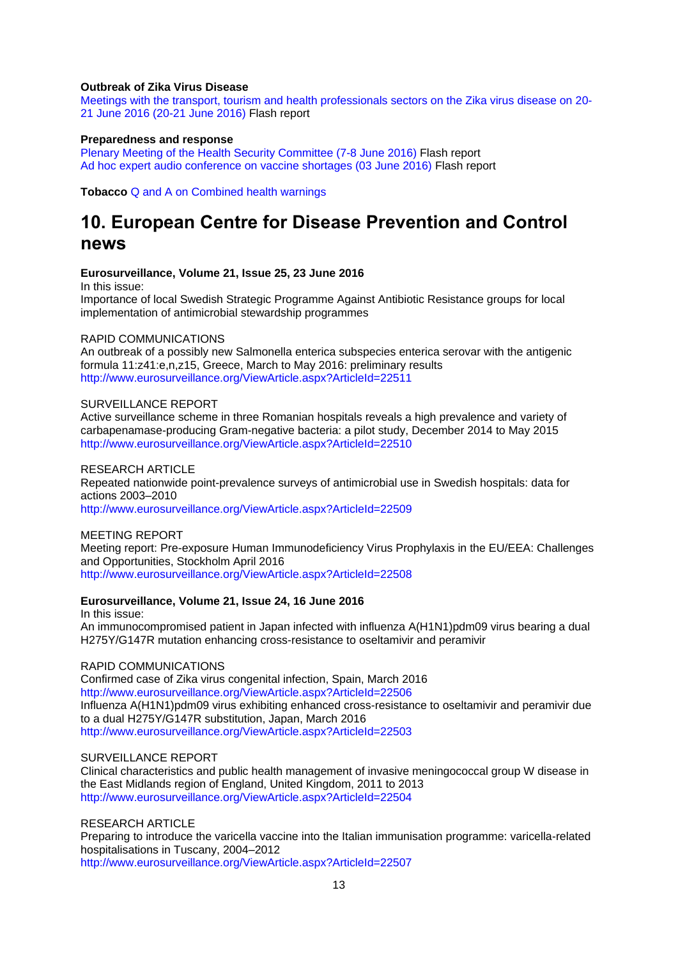## **Outbreak of Zika Virus Disease**

[Meetings with the transport, tourism and health professionals sectors on the Zika virus disease on 20-](http://ec.europa.eu/health/preparedness_response/docs/zika_ev_20160620_flash_en.pdf) [21 June 2016 \(20-21 June 2016\)](http://ec.europa.eu/health/preparedness_response/docs/zika_ev_20160620_flash_en.pdf) Flash report

### **Preparedness and response**

[Plenary Meeting of the Health Security Committee \(7-8 June 2016\)](http://ec.europa.eu/health/preparedness_response/docs/ev_20160607_flash_en.pdf) Flash report [Ad hoc expert audio conference on vaccine shortages \(03 June 2016\)](http://ec.europa.eu/health/preparedness_response/docs/ev_20160603_flash_en.pdf) Flash report

**Tobacco** [Q and A on Combined health warnings](http://ec.europa.eu/health/tobacco/docs/pictorialwarnings_tpd_en.pdf) 

# <span id="page-12-0"></span>**10. European Centre for Disease Prevention and Control news**

#### **Eurosurveillance, Volume 21, Issue 25, 23 June 2016**

In this issue:

Importance of local Swedish Strategic Programme Against Antibiotic Resistance groups for local implementation of antimicrobial stewardship programmes

#### RAPID COMMUNICATIONS

An outbreak of a possibly new Salmonella enterica subspecies enterica serovar with the antigenic formula 11:z41:e,n,z15, Greece, March to May 2016: preliminary results <http://www.eurosurveillance.org/ViewArticle.aspx?ArticleId=22511>

## SURVEILLANCE REPORT

Active surveillance scheme in three Romanian hospitals reveals a high prevalence and variety of carbapenamase-producing Gram-negative bacteria: a pilot study, December 2014 to May 2015 <http://www.eurosurveillance.org/ViewArticle.aspx?ArticleId=22510>

#### RESEARCH ARTICLE

Repeated nationwide point-prevalence surveys of antimicrobial use in Swedish hospitals: data for actions 2003–2010

<http://www.eurosurveillance.org/ViewArticle.aspx?ArticleId=22509>

#### MEETING REPORT

Meeting report: Pre-exposure Human Immunodeficiency Virus Prophylaxis in the EU/EEA: Challenges and Opportunities, Stockholm April 2016

<http://www.eurosurveillance.org/ViewArticle.aspx?ArticleId=22508>

## **Eurosurveillance, Volume 21, Issue 24, 16 June 2016**

In this issue: An immunocompromised patient in Japan infected with influenza A(H1N1)pdm09 virus bearing a dual H275Y/G147R mutation enhancing cross-resistance to oseltamivir and peramivir

## RAPID COMMUNICATIONS

Confirmed case of Zika virus congenital infection, Spain, March 2016 <http://www.eurosurveillance.org/ViewArticle.aspx?ArticleId=22506> Influenza A(H1N1)pdm09 virus exhibiting enhanced cross-resistance to oseltamivir and peramivir due to a dual H275Y/G147R substitution, Japan, March 2016 <http://www.eurosurveillance.org/ViewArticle.aspx?ArticleId=22503>

#### SURVEILLANCE REPORT

Clinical characteristics and public health management of invasive meningococcal group W disease in the East Midlands region of England, United Kingdom, 2011 to 2013 <http://www.eurosurveillance.org/ViewArticle.aspx?ArticleId=22504>

## RESEARCH ARTICLE

Preparing to introduce the varicella vaccine into the Italian immunisation programme: varicella-related hospitalisations in Tuscany, 2004–2012 <http://www.eurosurveillance.org/ViewArticle.aspx?ArticleId=22507>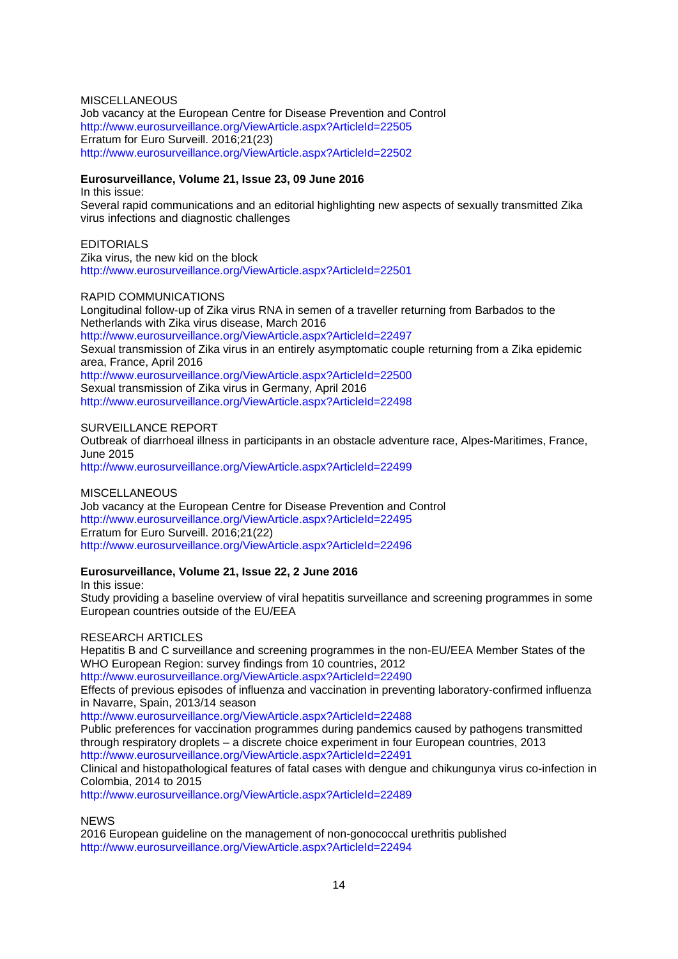## **MISCELLANEOUS**

Job vacancy at the European Centre for Disease Prevention and Control <http://www.eurosurveillance.org/ViewArticle.aspx?ArticleId=22505> Erratum for Euro Surveill. 2016;21(23) <http://www.eurosurveillance.org/ViewArticle.aspx?ArticleId=22502>

## **Eurosurveillance, Volume 21, Issue 23, 09 June 2016**

In this issue:

Several rapid communications and an editorial highlighting new aspects of sexually transmitted Zika virus infections and diagnostic challenges

## **EDITORIALS**

Zika virus, the new kid on the block <http://www.eurosurveillance.org/ViewArticle.aspx?ArticleId=22501>

## RAPID COMMUNICATIONS

Longitudinal follow-up of Zika virus RNA in semen of a traveller returning from Barbados to the Netherlands with Zika virus disease, March 2016 <http://www.eurosurveillance.org/ViewArticle.aspx?ArticleId=22497> Sexual transmission of Zika virus in an entirely asymptomatic couple returning from a Zika epidemic area, France, April 2016 <http://www.eurosurveillance.org/ViewArticle.aspx?ArticleId=22500> Sexual transmission of Zika virus in Germany, April 2016 <http://www.eurosurveillance.org/ViewArticle.aspx?ArticleId=22498>

## SURVEILLANCE REPORT

Outbreak of diarrhoeal illness in participants in an obstacle adventure race, Alpes-Maritimes, France, June 2015

<http://www.eurosurveillance.org/ViewArticle.aspx?ArticleId=22499>

## MISCELLANEOUS Job vacancy at the European Centre for Disease Prevention and Control <http://www.eurosurveillance.org/ViewArticle.aspx?ArticleId=22495> Erratum for Euro Surveill. 2016;21(22) <http://www.eurosurveillance.org/ViewArticle.aspx?ArticleId=22496>

## **Eurosurveillance, Volume 21, Issue 22, 2 June 2016**

In this issue: Study providing a baseline overview of viral hepatitis surveillance and screening programmes in some European countries outside of the EU/EEA

## RESEARCH ARTICLES

Hepatitis B and C surveillance and screening programmes in the non-EU/EEA Member States of the WHO European Region: survey findings from 10 countries, 2012

<http://www.eurosurveillance.org/ViewArticle.aspx?ArticleId=22490>

Effects of previous episodes of influenza and vaccination in preventing laboratory-confirmed influenza in Navarre, Spain, 2013/14 season

<http://www.eurosurveillance.org/ViewArticle.aspx?ArticleId=22488>

Public preferences for vaccination programmes during pandemics caused by pathogens transmitted through respiratory droplets – a discrete choice experiment in four European countries, 2013 <http://www.eurosurveillance.org/ViewArticle.aspx?ArticleId=22491>

Clinical and histopathological features of fatal cases with dengue and chikungunya virus co-infection in Colombia, 2014 to 2015

<http://www.eurosurveillance.org/ViewArticle.aspx?ArticleId=22489>

**NEWS** 

2016 European guideline on the management of non-gonococcal urethritis published <http://www.eurosurveillance.org/ViewArticle.aspx?ArticleId=22494>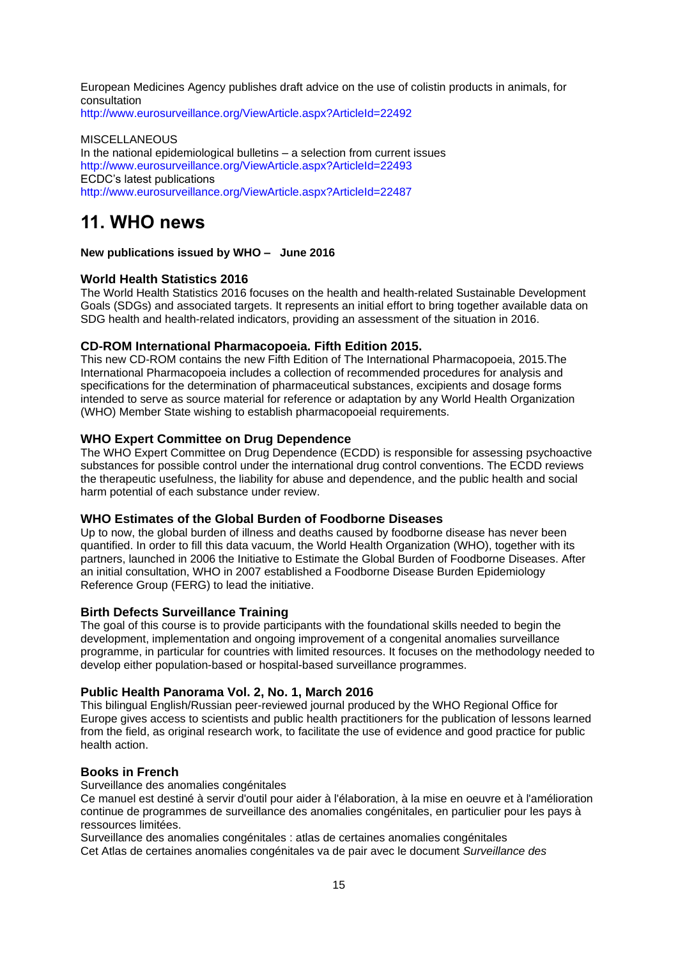European Medicines Agency publishes draft advice on the use of colistin products in animals, for consultation

<http://www.eurosurveillance.org/ViewArticle.aspx?ArticleId=22492>

**MISCELLANEOUS** In the national epidemiological bulletins – a selection from current issues <http://www.eurosurveillance.org/ViewArticle.aspx?ArticleId=22493> ECDC's latest publications <http://www.eurosurveillance.org/ViewArticle.aspx?ArticleId=22487>

# <span id="page-14-0"></span>**11. WHO news**

**New publications issued by WHO – June 2016** 

# <span id="page-14-1"></span>**[World Health Statistics 2016](http://apps.who.int/bookorders/anglais/detart1.jsp?codlan=1&codcol=15&codcch=911)**

The World Health Statistics 2016 focuses on the health and health-related Sustainable Development Goals (SDGs) and associated targets. It represents an initial effort to bring together available data on SDG health and health-related indicators, providing an assessment of the situation in 2016.

# <span id="page-14-2"></span>**[CD-ROM International Pharmacopoeia. Fifth Edition 2015.](http://apps.who.int/bookorders/anglais/detart1.jsp?codlan=1&codcol=99&codcch=61)**

This new CD-ROM contains the new Fifth Edition of The International Pharmacopoeia, 2015.The International Pharmacopoeia includes a collection of recommended procedures for analysis and specifications for the determination of pharmaceutical substances, excipients and dosage forms intended to serve as source material for reference or adaptation by any World Health Organization (WHO) Member State wishing to establish pharmacopoeial requirements.

# <span id="page-14-3"></span>**[WHO Expert Committee on Drug Dependence](http://apps.who.int/bookorders/anglais/detart1.jsp?codlan=1&codcol=10&codcch=998)**

The WHO Expert Committee on Drug Dependence (ECDD) is responsible for assessing psychoactive substances for possible control under the international drug control conventions. The ECDD reviews the therapeutic usefulness, the liability for abuse and dependence, and the public health and social harm potential of each substance under review.

# <span id="page-14-4"></span>**[WHO Estimates of the Global Burden of Foodborne Diseases](http://apps.who.int/bookorders/anglais/detart1.jsp?codlan=1&codcol=93&codcch=340)**

Up to now, the global burden of illness and deaths caused by foodborne disease has never been quantified. In order to fill this data vacuum, the World Health Organization (WHO), together with its partners, launched in 2006 the Initiative to Estimate the Global Burden of Foodborne Diseases. After an initial consultation, WHO in 2007 established a Foodborne Disease Burden Epidemiology Reference Group (FERG) to lead the initiative.

# <span id="page-14-5"></span>**[Birth Defects Surveillance Training](http://apps.who.int/bookorders/anglais/detart1.jsp?codlan=1&codcol=93&codcch=325)**

The goal of this course is to provide participants with the foundational skills needed to begin the development, implementation and ongoing improvement of a congenital anomalies surveillance programme, in particular for countries with limited resources. It focuses on the methodology needed to develop either population-based or hospital-based surveillance programmes.

# <span id="page-14-6"></span>**[Public Health Panorama Vol. 2, No. 1, March 2016](http://apps.who.int/bookorders/anglais/detart1.jsp?codlan=1&codcol=32&codcch=201)**

This bilingual English/Russian peer-reviewed journal produced by the WHO Regional Office for Europe gives access to scientists and public health practitioners for the publication of lessons learned from the field, as original research work, to facilitate the use of evidence and good practice for public health action.

# <span id="page-14-7"></span>**Books in French**

[Surveillance des anomalies congénitales](http://apps.who.int/bookorders/anglais/detart1.jsp?codlan=2&codcol=93&codcch=286)

Ce manuel est destiné à servir d'outil pour aider à l'élaboration, à la mise en oeuvre et à l'amélioration continue de programmes de surveillance des anomalies congénitales, en particulier pour les pays à ressources limitées.

Surveillance [des anomalies congénitales : atlas de certaines anomalies congénitales](http://apps.who.int/bookorders/anglais/detart1.jsp?codlan=2&codcol=93&codcch=292) Cet Atlas de certaines anomalies congénitales va de pair avec le document *Surveillance des*